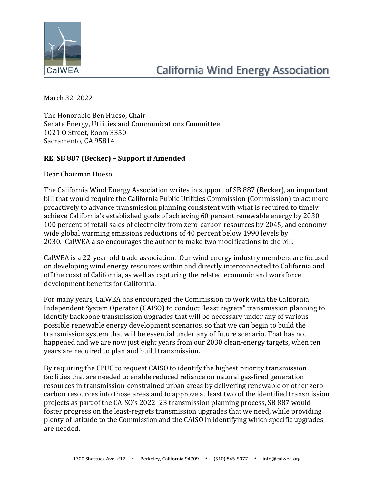

March 32, 2022

The Honorable Ben Hueso, Chair Senate Energy, Utilities and Communications Committee 1021 O Street, Room 3350 Sacramento, CA 95814

## **RE: SB 887 (Becker) – Support if Amended**

Dear Chairman Hueso,

The California Wind Energy Association writes in support of SB 887 (Becker), an important bill that would require the California Public Utilities Commission (Commission) to act more proactively to advance transmission planning consistent with what is required to timely achieve California's established goals of achieving 60 percent renewable energy by 2030, 100 percent of retail sales of electricity from zero-carbon resources by 2045, and economywide global warming emissions reductions of 40 percent below 1990 levels by 2030. CalWEA also encourages the author to make two modifications to the bill.

CalWEA is a 22-year-old trade association. Our wind energy industry members are focused on developing wind energy resources within and directly interconnected to California and off the coast of California, as well as capturing the related economic and workforce development benefits for California.

For many years, CalWEA has encouraged the Commission to work with the California Independent System Operator (CAISO) to conduct "least regrets" transmission planning to identify backbone transmission upgrades that will be necessary under any of various possible renewable energy development scenarios, so that we can begin to build the transmission system that will be essential under any of future scenario. That has not happened and we are now just eight years from our 2030 clean-energy targets, when ten years are required to plan and build transmission.

By requiring the CPUC to request CAISO to identify the highest priority transmission facilities that are needed to enable reduced reliance on natural gas-fired generation resources in transmission-constrained urban areas by delivering renewable or other zerocarbon resources into those areas and to approve at least two of the identified transmission projects as part of the CAISO's 2022–23 transmission planning process, SB 887 would foster progress on the least-regrets transmission upgrades that we need, while providing plenty of latitude to the Commission and the CAISO in identifying which specific upgrades are needed.